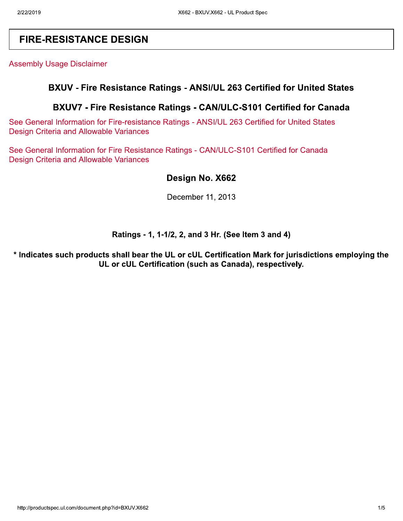# **FIRE-RESISTANCE DESIGN**

**Assembly Usage Disclaimer** 

### BXUV - Fire Resistance Ratings - ANSI/UL 263 Certified for United States

### BXUV7 - Fire Resistance Ratings - CAN/ULC-S101 Certified for Canada

See General Information for Fire-resistance Ratings - ANSI/UL 263 Certified for United States **Design Criteria and Allowable Variances** 

See General Information for Fire Resistance Ratings - CAN/ULC-S101 Certified for Canada **Design Criteria and Allowable Variances** 

### Design No. X662

December 11, 2013

#### Ratings - 1, 1-1/2, 2, and 3 Hr. (See Item 3 and 4)

\* Indicates such products shall bear the UL or cUL Certification Mark for jurisdictions employing the UL or cUL Certification (such as Canada), respectively.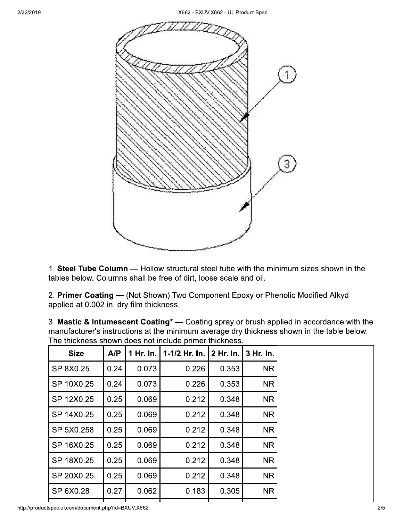

1. Steel Tube Column - Hollow structural steel tube with the minimum sizes shown in the tables below. Columns shall be free of dirt, loose scale and oil.

2. Primer Coating - (Not Shown) Two Component Epoxy or Phenolic Modified Alkyd applied at 0.002 in. dry film thickness.

| 3. Mastic & Intumescent Coating <sup>*</sup> — Coating spray or brush applied in accordance with the |
|------------------------------------------------------------------------------------------------------|
| manufacturer's instructions at the minimum average dry thickness shown in the table below.           |
| The thickness shown does not include primer thickness.                                               |

| <b>Size</b> | A/P  | 1 Hr. In. | 1-1/2 Hr. In. | 2 Hr. In. | 3 Hr. In. |
|-------------|------|-----------|---------------|-----------|-----------|
| SP 8X0.25   | 0.24 | 0.073     | 0.226         | 0.353     | <b>NR</b> |
| SP 10X0.25  | 0.24 | 0.073     | 0.226         | 0.353     | <b>NR</b> |
| SP 12X0.25  | 0.25 | 0.069     | 0.212         | 0.348     | <b>NR</b> |
| SP 14X0.25  | 0.25 | 0.069     | 0.212         | 0.348     | <b>NR</b> |
| SP 5X0.258  | 0.25 | 0.069     | 0.212         | 0.348     | <b>NR</b> |
| SP 16X0.25  | 0.25 | 0.069     | 0.212         | 0.348     | <b>NR</b> |
| SP 18X0.25  | 0.25 | 0.069     | 0.212         | 0.348     | <b>NR</b> |
| SP 20X0.25  | 0.25 | 0.069     | 0.212         | 0.348     | <b>NR</b> |
| SP 6X0.28   | 0.27 | 0.062     | 0.183         | 0.305     | <b>NR</b> |

http://productspec.ul.com/document.php?id=BXUV.X662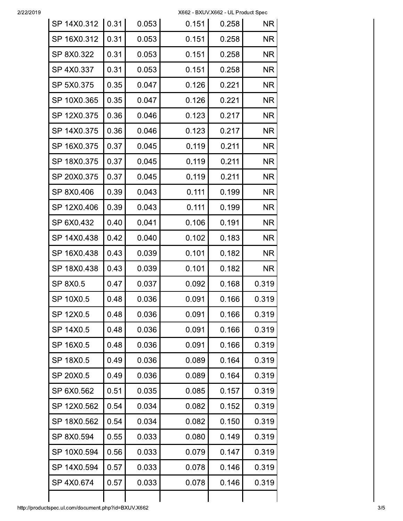X662 - BXUV.X662 - UL Product Spec

| SP 14X0.312 | 0.31 | 0.053 | 0.151 | 0.258 | <b>NR</b> |
|-------------|------|-------|-------|-------|-----------|
| SP 16X0.312 | 0.31 | 0.053 | 0.151 | 0.258 | <b>NR</b> |
| SP 8X0.322  | 0.31 | 0.053 | 0.151 | 0.258 | <b>NR</b> |
| SP 4X0.337  | 0.31 | 0.053 | 0.151 | 0.258 | <b>NR</b> |
| SP 5X0.375  | 0.35 | 0.047 | 0.126 | 0.221 | <b>NR</b> |
| SP 10X0.365 | 0.35 | 0.047 | 0.126 | 0.221 | <b>NR</b> |
| SP 12X0.375 | 0.36 | 0.046 | 0.123 | 0.217 | <b>NR</b> |
| SP 14X0.375 | 0.36 | 0.046 | 0.123 | 0.217 | <b>NR</b> |
| SP 16X0.375 | 0.37 | 0.045 | 0.119 | 0.211 | <b>NR</b> |
| SP 18X0.375 | 0.37 | 0.045 | 0.119 | 0.211 | <b>NR</b> |
| SP 20X0.375 | 0.37 | 0.045 | 0.119 | 0.211 | <b>NR</b> |
| SP 8X0.406  | 0.39 | 0.043 | 0.111 | 0.199 | <b>NR</b> |
| SP 12X0.406 | 0.39 | 0.043 | 0.111 | 0.199 | <b>NR</b> |
| SP 6X0.432  | 0.40 | 0.041 | 0.106 | 0.191 | <b>NR</b> |
| SP 14X0.438 | 0.42 | 0.040 | 0.102 | 0.183 | <b>NR</b> |
| SP 16X0.438 | 0.43 | 0.039 | 0.101 | 0.182 | <b>NR</b> |
| SP 18X0.438 | 0.43 | 0.039 | 0.101 | 0.182 | <b>NR</b> |
| SP 8X0.5    | 0.47 | 0.037 | 0.092 | 0.168 | 0.319     |
| SP 10X0.5   | 0.48 | 0.036 | 0.091 | 0.166 | 0.319     |
| SP 12X0.5   | 0.48 | 0.036 | 0.091 | 0.166 | 0.319     |
| SP 14X0.5   | 0.48 | 0.036 | 0.091 | 0.166 | 0.319     |
| SP 16X0.5   | 0.48 | 0.036 | 0.091 | 0.166 | 0.319     |
| SP 18X0.5   | 0.49 | 0.036 | 0.089 | 0.164 | 0.319     |
| SP 20X0.5   | 0.49 | 0.036 | 0.089 | 0.164 | 0.319     |
| SP 6X0.562  | 0.51 | 0.035 | 0.085 | 0.157 | 0.319     |
| SP 12X0.562 | 0.54 | 0.034 | 0.082 | 0.152 | 0.319     |
| SP 18X0.562 | 0.54 | 0.034 | 0.082 | 0.150 | 0.319     |
| SP 8X0.594  | 0.55 | 0.033 | 0.080 | 0.149 | 0.319     |
| SP 10X0.594 | 0.56 | 0.033 | 0.079 | 0.147 | 0.319     |
| SP 14X0.594 | 0.57 | 0.033 | 0.078 | 0.146 | 0.319     |
| SP 4X0.674  | 0.57 | 0.033 | 0.078 | 0.146 | 0.319     |
|             |      |       |       |       |           |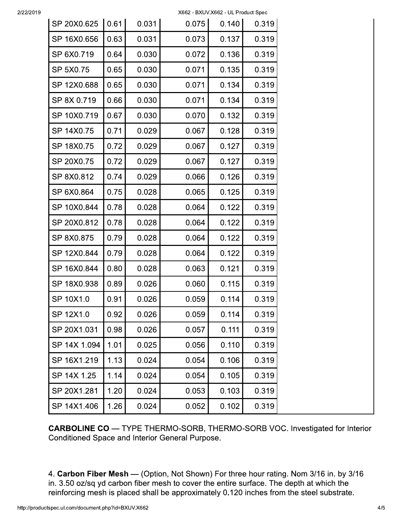X662 - BXUV.X662 - UL Product Spec

| SP 20X0.625  | 0.61 | 0.031 | 0.075 | 0.140 | 0.319 |
|--------------|------|-------|-------|-------|-------|
| SP 16X0.656  | 0.63 | 0.031 | 0.073 | 0.137 | 0.319 |
| SP 6X0.719   | 0.64 | 0.030 | 0.072 | 0.136 | 0.319 |
| SP 5X0.75    | 0.65 | 0.030 | 0.071 | 0.135 | 0.319 |
| SP 12X0.688  | 0.65 | 0.030 | 0.071 | 0.134 | 0.319 |
| SP 8X 0.719  | 0.66 | 0.030 | 0.071 | 0.134 | 0.319 |
| SP 10X0.719  | 0.67 | 0.030 | 0.070 | 0.132 | 0.319 |
| SP 14X0.75   | 0.71 | 0.029 | 0.067 | 0.128 | 0.319 |
| SP 18X0.75   | 0.72 | 0.029 | 0.067 | 0.127 | 0.319 |
| SP 20X0.75   | 0.72 | 0.029 | 0.067 | 0.127 | 0.319 |
| SP 8X0.812   | 0.74 | 0.029 | 0.066 | 0.126 | 0.319 |
| SP 6X0.864   | 0.75 | 0.028 | 0.065 | 0.125 | 0.319 |
| SP 10X0.844  | 0.78 | 0.028 | 0.064 | 0.122 | 0.319 |
| SP 20X0.812  | 0.78 | 0.028 | 0.064 | 0.122 | 0.319 |
| SP 8X0.875   | 0.79 | 0.028 | 0.064 | 0.122 | 0.319 |
| SP 12X0.844  | 0.79 | 0.028 | 0.064 | 0.122 | 0.319 |
| SP 16X0.844  | 0.80 | 0.028 | 0.063 | 0.121 | 0.319 |
| SP 18X0.938  | 0.89 | 0.026 | 0.060 | 0.115 | 0.319 |
| SP 10X1.0    | 0.91 | 0.026 | 0.059 | 0.114 | 0.319 |
| SP 12X1.0    | 0.92 | 0.026 | 0.059 | 0.114 | 0.319 |
| SP 20X1.031  | 0.98 | 0.026 | 0.057 | 0.111 | 0.319 |
| SP 14X 1.094 | 1.01 | 0.025 | 0.056 | 0.110 | 0.319 |
| SP 16X1.219  | 1.13 | 0.024 | 0.054 | 0.106 | 0.319 |
| SP 14X 1.25  | 1.14 | 0.024 | 0.054 | 0.105 | 0.319 |
| SP 20X1.281  | 1.20 | 0.024 | 0.053 | 0.103 | 0.319 |
| SP 14X1.406  | 1.26 | 0.024 | 0.052 | 0.102 | 0.319 |

**CARBOLINE CO** - TYPE THERMO-SORB, THERMO-SORB VOC. Investigated for Interior Conditioned Space and Interior General Purpose.

4. Carbon Fiber Mesh - (Option, Not Shown) For three hour rating. Nom 3/16 in. by 3/16 in. 3.50 oz/sq yd carbon fiber mesh to cover the entire surface. The depth at which the reinforcing mesh is placed shall be approximately 0.120 inches from the steel substrate.